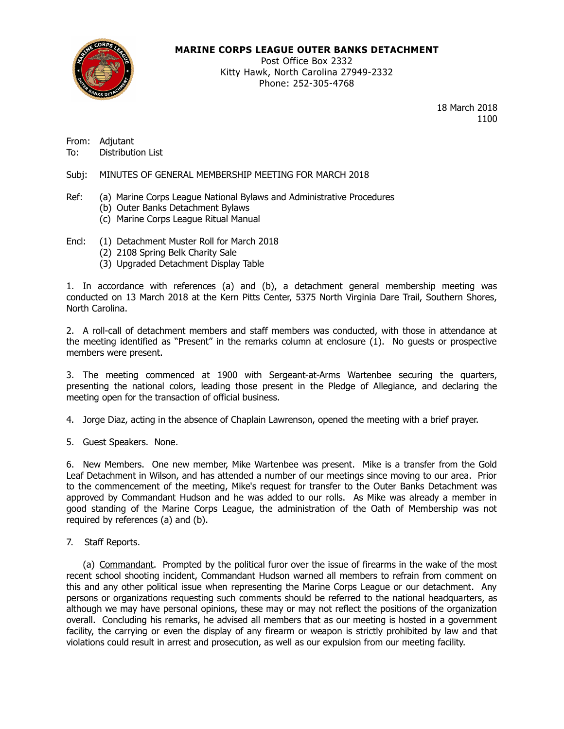

### **MARINE CORPS LEAGUE OUTER BANKS DETACHMENT**

Post Office Box 2332 Kitty Hawk, North Carolina 27949-2332 Phone: 252-305-4768

> 18 March 2018 1100

From: Adjutant

To: Distribution List

Subj: MINUTES OF GENERAL MEMBERSHIP MEETING FOR MARCH 2018

- Ref: (a) Marine Corps League National Bylaws and Administrative Procedures
	- (b) Outer Banks Detachment Bylaws
	- (c) Marine Corps League Ritual Manual
- Encl: (1) Detachment Muster Roll for March 2018
	- (2) 2108 Spring Belk Charity Sale
	- (3) Upgraded Detachment Display Table

1. In accordance with references (a) and (b), a detachment general membership meeting was conducted on 13 March 2018 at the Kern Pitts Center, 5375 North Virginia Dare Trail, Southern Shores, North Carolina.

2. A roll-call of detachment members and staff members was conducted, with those in attendance at the meeting identified as "Present" in the remarks column at enclosure (1). No guests or prospective members were present.

3. The meeting commenced at 1900 with Sergeant-at-Arms Wartenbee securing the quarters, presenting the national colors, leading those present in the Pledge of Allegiance, and declaring the meeting open for the transaction of official business.

4. Jorge Diaz, acting in the absence of Chaplain Lawrenson, opened the meeting with a brief prayer.

5. Guest Speakers. None.

6. New Members. One new member, Mike Wartenbee was present. Mike is a transfer from the Gold Leaf Detachment in Wilson, and has attended a number of our meetings since moving to our area. Prior to the commencement of the meeting, Mike's request for transfer to the Outer Banks Detachment was approved by Commandant Hudson and he was added to our rolls. As Mike was already a member in good standing of the Marine Corps League, the administration of the Oath of Membership was not required by references (a) and (b).

7. Staff Reports.

(a) Commandant. Prompted by the political furor over the issue of firearms in the wake of the most recent school shooting incident, Commandant Hudson warned all members to refrain from comment on this and any other political issue when representing the Marine Corps League or our detachment. Any persons or organizations requesting such comments should be referred to the national headquarters, as although we may have personal opinions, these may or may not reflect the positions of the organization overall. Concluding his remarks, he advised all members that as our meeting is hosted in a government facility, the carrying or even the display of any firearm or weapon is strictly prohibited by law and that violations could result in arrest and prosecution, as well as our expulsion from our meeting facility.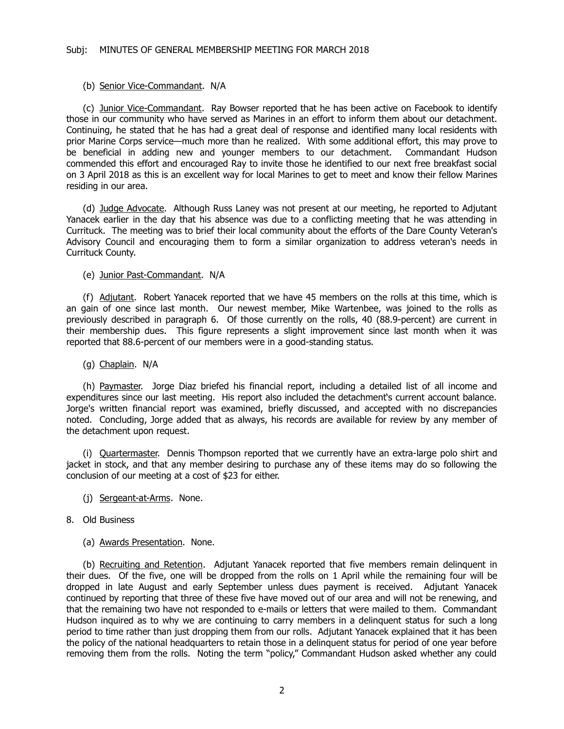#### (b) Senior Vice-Commandant. N/A

(c) Junior Vice-Commandant. Ray Bowser reported that he has been active on Facebook to identify those in our community who have served as Marines in an effort to inform them about our detachment. Continuing, he stated that he has had a great deal of response and identified many local residents with prior Marine Corps service—much more than he realized. With some additional effort, this may prove to be beneficial in adding new and younger members to our detachment. Commandant Hudson commended this effort and encouraged Ray to invite those he identified to our next free breakfast social on 3 April 2018 as this is an excellent way for local Marines to get to meet and know their fellow Marines residing in our area.

(d) Judge Advocate. Although Russ Laney was not present at our meeting, he reported to Adjutant Yanacek earlier in the day that his absence was due to a conflicting meeting that he was attending in Currituck. The meeting was to brief their local community about the efforts of the Dare County Veteran's Advisory Council and encouraging them to form a similar organization to address veteran's needs in Currituck County.

(e) Junior Past-Commandant. N/A

(f) Adjutant. Robert Yanacek reported that we have 45 members on the rolls at this time, which is an gain of one since last month. Our newest member, Mike Wartenbee, was joined to the rolls as previously described in paragraph 6. Of those currently on the rolls, 40 (88.9-percent) are current in their membership dues. This figure represents a slight improvement since last month when it was reported that 88.6-percent of our members were in a good-standing status.

#### (g) Chaplain. N/A

(h) Paymaster. Jorge Diaz briefed his financial report, including a detailed list of all income and expenditures since our last meeting. His report also included the detachment's current account balance. Jorge's written financial report was examined, briefly discussed, and accepted with no discrepancies noted. Concluding, Jorge added that as always, his records are available for review by any member of the detachment upon request.

(i) Quartermaster. Dennis Thompson reported that we currently have an extra-large polo shirt and jacket in stock, and that any member desiring to purchase any of these items may do so following the conclusion of our meeting at a cost of \$23 for either.

- (j) Sergeant-at-Arms. None.
- 8. Old Business
	- (a) Awards Presentation. None.

(b) Recruiting and Retention. Adjutant Yanacek reported that five members remain delinquent in their dues. Of the five, one will be dropped from the rolls on 1 April while the remaining four will be dropped in late August and early September unless dues payment is received. Adjutant Yanacek continued by reporting that three of these five have moved out of our area and will not be renewing, and that the remaining two have not responded to e-mails or letters that were mailed to them. Commandant Hudson inquired as to why we are continuing to carry members in a delinquent status for such a long period to time rather than just dropping them from our rolls. Adjutant Yanacek explained that it has been the policy of the national headquarters to retain those in a delinquent status for period of one year before removing them from the rolls. Noting the term "policy," Commandant Hudson asked whether any could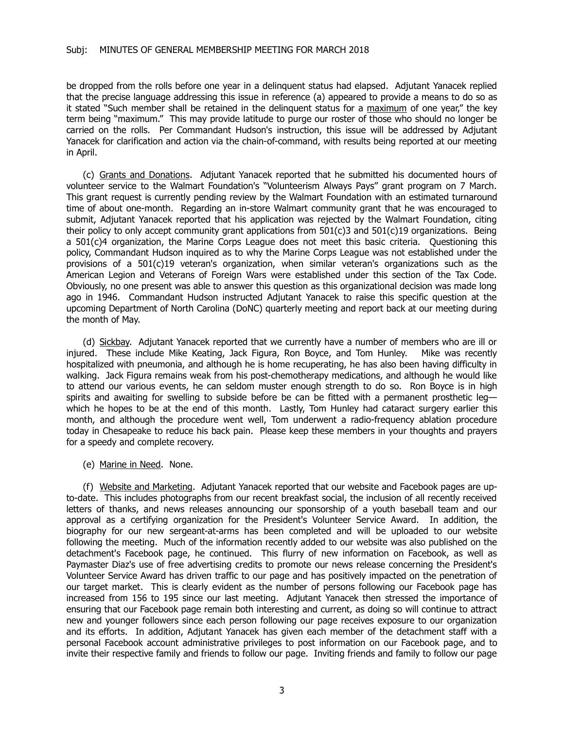be dropped from the rolls before one year in a delinquent status had elapsed. Adjutant Yanacek replied that the precise language addressing this issue in reference (a) appeared to provide a means to do so as it stated "Such member shall be retained in the delinquent status for a maximum of one year," the key term being "maximum." This may provide latitude to purge our roster of those who should no longer be carried on the rolls. Per Commandant Hudson's instruction, this issue will be addressed by Adjutant Yanacek for clarification and action via the chain-of-command, with results being reported at our meeting in April.

(c) Grants and Donations. Adjutant Yanacek reported that he submitted his documented hours of volunteer service to the Walmart Foundation's "Volunteerism Always Pays" grant program on 7 March. This grant request is currently pending review by the Walmart Foundation with an estimated turnaround time of about one-month. Regarding an in-store Walmart community grant that he was encouraged to submit, Adjutant Yanacek reported that his application was rejected by the Walmart Foundation, citing their policy to only accept community grant applications from 501(c)3 and 501(c)19 organizations. Being a 501(c)4 organization, the Marine Corps League does not meet this basic criteria. Questioning this policy, Commandant Hudson inquired as to why the Marine Corps League was not established under the provisions of a 501(c)19 veteran's organization, when similar veteran's organizations such as the American Legion and Veterans of Foreign Wars were established under this section of the Tax Code. Obviously, no one present was able to answer this question as this organizational decision was made long ago in 1946. Commandant Hudson instructed Adjutant Yanacek to raise this specific question at the upcoming Department of North Carolina (DoNC) quarterly meeting and report back at our meeting during the month of May.

(d) Sickbay. Adjutant Yanacek reported that we currently have a number of members who are ill or injured. These include Mike Keating, Jack Figura, Ron Boyce, and Tom Hunley. Mike was recently hospitalized with pneumonia, and although he is home recuperating, he has also been having difficulty in walking. Jack Figura remains weak from his post-chemotherapy medications, and although he would like to attend our various events, he can seldom muster enough strength to do so. Ron Boyce is in high spirits and awaiting for swelling to subside before be can be fitted with a permanent prosthetic legwhich he hopes to be at the end of this month. Lastly, Tom Hunley had cataract surgery earlier this month, and although the procedure went well, Tom underwent a radio-frequency ablation procedure today in Chesapeake to reduce his back pain. Please keep these members in your thoughts and prayers for a speedy and complete recovery.

(e) Marine in Need. None.

(f) Website and Marketing. Adjutant Yanacek reported that our website and Facebook pages are upto-date. This includes photographs from our recent breakfast social, the inclusion of all recently received letters of thanks, and news releases announcing our sponsorship of a youth baseball team and our approval as a certifying organization for the President's Volunteer Service Award. In addition, the biography for our new sergeant-at-arms has been completed and will be uploaded to our website following the meeting. Much of the information recently added to our website was also published on the detachment's Facebook page, he continued. This flurry of new information on Facebook, as well as Paymaster Diaz's use of free advertising credits to promote our news release concerning the President's Volunteer Service Award has driven traffic to our page and has positively impacted on the penetration of our target market. This is clearly evident as the number of persons following our Facebook page has increased from 156 to 195 since our last meeting. Adjutant Yanacek then stressed the importance of ensuring that our Facebook page remain both interesting and current, as doing so will continue to attract new and younger followers since each person following our page receives exposure to our organization and its efforts. In addition, Adjutant Yanacek has given each member of the detachment staff with a personal Facebook account administrative privileges to post information on our Facebook page, and to invite their respective family and friends to follow our page. Inviting friends and family to follow our page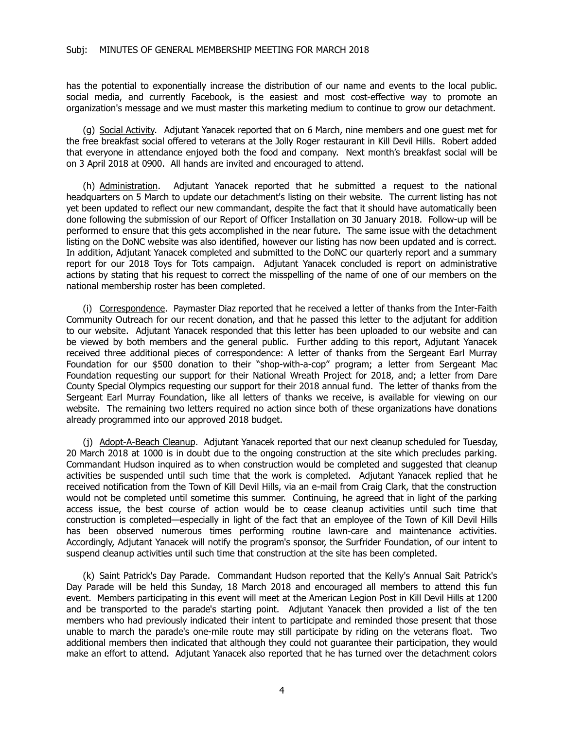has the potential to exponentially increase the distribution of our name and events to the local public. social media, and currently Facebook, is the easiest and most cost-effective way to promote an organization's message and we must master this marketing medium to continue to grow our detachment.

(g) Social Activity. Adjutant Yanacek reported that on 6 March, nine members and one guest met for the free breakfast social offered to veterans at the Jolly Roger restaurant in Kill Devil Hills. Robert added that everyone in attendance enjoyed both the food and company. Next month's breakfast social will be on 3 April 2018 at 0900. All hands are invited and encouraged to attend.

(h) Administration. Adjutant Yanacek reported that he submitted a request to the national headquarters on 5 March to update our detachment's listing on their website. The current listing has not yet been updated to reflect our new commandant, despite the fact that it should have automatically been done following the submission of our Report of Officer Installation on 30 January 2018. Follow-up will be performed to ensure that this gets accomplished in the near future. The same issue with the detachment listing on the DoNC website was also identified, however our listing has now been updated and is correct. In addition, Adjutant Yanacek completed and submitted to the DoNC our quarterly report and a summary report for our 2018 Toys for Tots campaign. Adjutant Yanacek concluded is report on administrative actions by stating that his request to correct the misspelling of the name of one of our members on the national membership roster has been completed.

(i) Correspondence. Paymaster Diaz reported that he received a letter of thanks from the Inter-Faith Community Outreach for our recent donation, and that he passed this letter to the adjutant for addition to our website. Adjutant Yanacek responded that this letter has been uploaded to our website and can be viewed by both members and the general public. Further adding to this report, Adjutant Yanacek received three additional pieces of correspondence: A letter of thanks from the Sergeant Earl Murray Foundation for our \$500 donation to their "shop-with-a-cop" program; a letter from Sergeant Mac Foundation requesting our support for their National Wreath Project for 2018, and; a letter from Dare County Special Olympics requesting our support for their 2018 annual fund. The letter of thanks from the Sergeant Earl Murray Foundation, like all letters of thanks we receive, is available for viewing on our website. The remaining two letters required no action since both of these organizations have donations already programmed into our approved 2018 budget.

(j) Adopt-A-Beach Cleanup. Adjutant Yanacek reported that our next cleanup scheduled for Tuesday, 20 March 2018 at 1000 is in doubt due to the ongoing construction at the site which precludes parking. Commandant Hudson inquired as to when construction would be completed and suggested that cleanup activities be suspended until such time that the work is completed. Adjutant Yanacek replied that he received notification from the Town of Kill Devil Hills, via an e-mail from Craig Clark, that the construction would not be completed until sometime this summer. Continuing, he agreed that in light of the parking access issue, the best course of action would be to cease cleanup activities until such time that construction is completed—especially in light of the fact that an employee of the Town of Kill Devil Hills has been observed numerous times performing routine lawn-care and maintenance activities. Accordingly, Adjutant Yanacek will notify the program's sponsor, the Surfrider Foundation, of our intent to suspend cleanup activities until such time that construction at the site has been completed.

(k) Saint Patrick's Day Parade. Commandant Hudson reported that the Kelly's Annual Sait Patrick's Day Parade will be held this Sunday, 18 March 2018 and encouraged all members to attend this fun event. Members participating in this event will meet at the American Legion Post in Kill Devil Hills at 1200 and be transported to the parade's starting point. Adjutant Yanacek then provided a list of the ten members who had previously indicated their intent to participate and reminded those present that those unable to march the parade's one-mile route may still participate by riding on the veterans float. Two additional members then indicated that although they could not guarantee their participation, they would make an effort to attend. Adjutant Yanacek also reported that he has turned over the detachment colors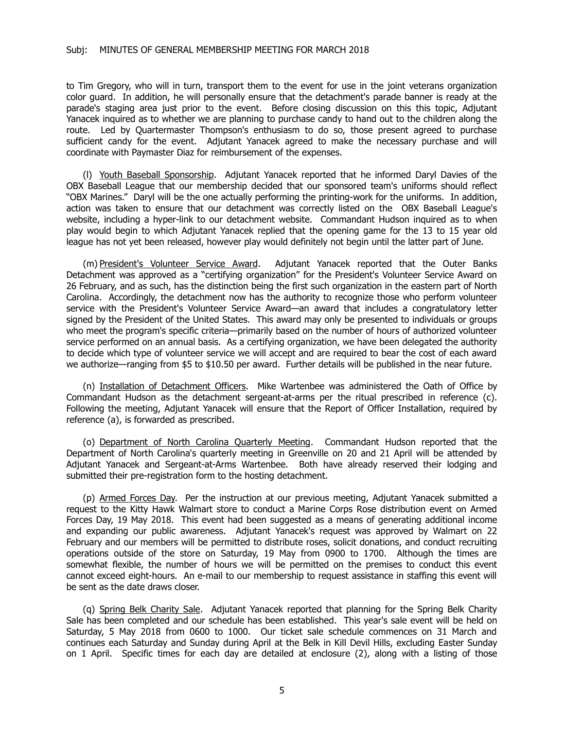to Tim Gregory, who will in turn, transport them to the event for use in the joint veterans organization color guard. In addition, he will personally ensure that the detachment's parade banner is ready at the parade's staging area just prior to the event. Before closing discussion on this this topic, Adjutant Yanacek inquired as to whether we are planning to purchase candy to hand out to the children along the route. Led by Quartermaster Thompson's enthusiasm to do so, those present agreed to purchase sufficient candy for the event. Adjutant Yanacek agreed to make the necessary purchase and will coordinate with Paymaster Diaz for reimbursement of the expenses.

(l) Youth Baseball Sponsorship. Adjutant Yanacek reported that he informed Daryl Davies of the OBX Baseball League that our membership decided that our sponsored team's uniforms should reflect "OBX Marines." Daryl will be the one actually performing the printing-work for the uniforms. In addition, action was taken to ensure that our detachment was correctly listed on the OBX Baseball League's website, including a hyper-link to our detachment website. Commandant Hudson inquired as to when play would begin to which Adjutant Yanacek replied that the opening game for the 13 to 15 year old league has not yet been released, however play would definitely not begin until the latter part of June.

(m) President's Volunteer Service Award. Adjutant Yanacek reported that the Outer Banks Detachment was approved as a "certifying organization" for the President's Volunteer Service Award on 26 February, and as such, has the distinction being the first such organization in the eastern part of North Carolina. Accordingly, the detachment now has the authority to recognize those who perform volunteer service with the President's Volunteer Service Award—an award that includes a congratulatory letter signed by the President of the United States. This award may only be presented to individuals or groups who meet the program's specific criteria—primarily based on the number of hours of authorized volunteer service performed on an annual basis. As a certifying organization, we have been delegated the authority to decide which type of volunteer service we will accept and are required to bear the cost of each award we authorize—ranging from \$5 to \$10.50 per award. Further details will be published in the near future.

(n) Installation of Detachment Officers. Mike Wartenbee was administered the Oath of Office by Commandant Hudson as the detachment sergeant-at-arms per the ritual prescribed in reference (c). Following the meeting, Adjutant Yanacek will ensure that the Report of Officer Installation, required by reference (a), is forwarded as prescribed.

(o) Department of North Carolina Quarterly Meeting. Commandant Hudson reported that the Department of North Carolina's quarterly meeting in Greenville on 20 and 21 April will be attended by Adjutant Yanacek and Sergeant-at-Arms Wartenbee. Both have already reserved their lodging and submitted their pre-registration form to the hosting detachment.

(p) Armed Forces Day. Per the instruction at our previous meeting, Adjutant Yanacek submitted a request to the Kitty Hawk Walmart store to conduct a Marine Corps Rose distribution event on Armed Forces Day, 19 May 2018. This event had been suggested as a means of generating additional income and expanding our public awareness. Adjutant Yanacek's request was approved by Walmart on 22 February and our members will be permitted to distribute roses, solicit donations, and conduct recruiting operations outside of the store on Saturday, 19 May from 0900 to 1700. Although the times are somewhat flexible, the number of hours we will be permitted on the premises to conduct this event cannot exceed eight-hours. An e-mail to our membership to request assistance in staffing this event will be sent as the date draws closer.

(q) Spring Belk Charity Sale. Adjutant Yanacek reported that planning for the Spring Belk Charity Sale has been completed and our schedule has been established. This year's sale event will be held on Saturday, 5 May 2018 from 0600 to 1000. Our ticket sale schedule commences on 31 March and continues each Saturday and Sunday during April at the Belk in Kill Devil Hills, excluding Easter Sunday on 1 April. Specific times for each day are detailed at enclosure (2), along with a listing of those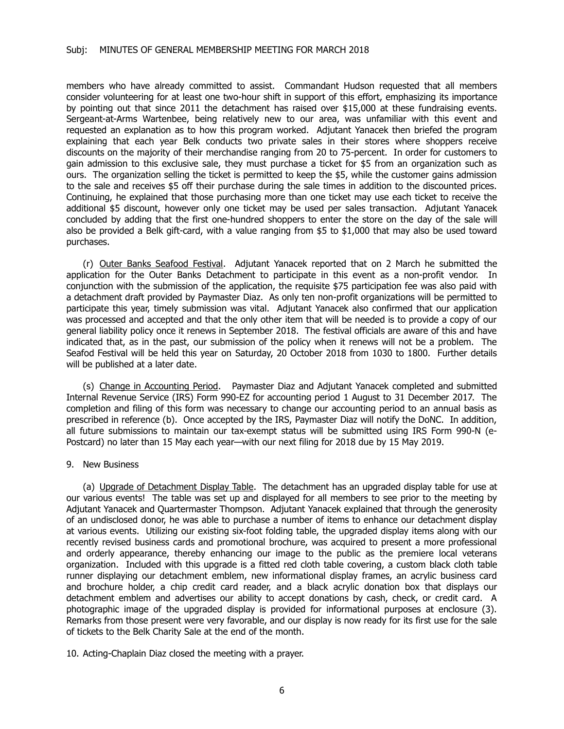#### Subj: MINUTES OF GENERAL MEMBERSHIP MEETING FOR MARCH 2018

members who have already committed to assist. Commandant Hudson requested that all members consider volunteering for at least one two-hour shift in support of this effort, emphasizing its importance by pointing out that since 2011 the detachment has raised over \$15,000 at these fundraising events. Sergeant-at-Arms Wartenbee, being relatively new to our area, was unfamiliar with this event and requested an explanation as to how this program worked. Adjutant Yanacek then briefed the program explaining that each year Belk conducts two private sales in their stores where shoppers receive discounts on the majority of their merchandise ranging from 20 to 75-percent. In order for customers to gain admission to this exclusive sale, they must purchase a ticket for \$5 from an organization such as ours. The organization selling the ticket is permitted to keep the \$5, while the customer gains admission to the sale and receives \$5 off their purchase during the sale times in addition to the discounted prices. Continuing, he explained that those purchasing more than one ticket may use each ticket to receive the additional \$5 discount, however only one ticket may be used per sales transaction. Adjutant Yanacek concluded by adding that the first one-hundred shoppers to enter the store on the day of the sale will also be provided a Belk gift-card, with a value ranging from \$5 to \$1,000 that may also be used toward purchases.

(r) Outer Banks Seafood Festival. Adjutant Yanacek reported that on 2 March he submitted the application for the Outer Banks Detachment to participate in this event as a non-profit vendor. In conjunction with the submission of the application, the requisite \$75 participation fee was also paid with a detachment draft provided by Paymaster Diaz. As only ten non-profit organizations will be permitted to participate this year, timely submission was vital. Adjutant Yanacek also confirmed that our application was processed and accepted and that the only other item that will be needed is to provide a copy of our general liability policy once it renews in September 2018. The festival officials are aware of this and have indicated that, as in the past, our submission of the policy when it renews will not be a problem. The Seafod Festival will be held this year on Saturday, 20 October 2018 from 1030 to 1800. Further details will be published at a later date.

(s) Change in Accounting Period. Paymaster Diaz and Adjutant Yanacek completed and submitted Internal Revenue Service (IRS) Form 990-EZ for accounting period 1 August to 31 December 2017. The completion and filing of this form was necessary to change our accounting period to an annual basis as prescribed in reference (b). Once accepted by the IRS, Paymaster Diaz will notify the DoNC. In addition, all future submissions to maintain our tax-exempt status will be submitted using IRS Form 990-N (e-Postcard) no later than 15 May each year—with our next filing for 2018 due by 15 May 2019.

#### 9. New Business

(a) Upgrade of Detachment Display Table. The detachment has an upgraded display table for use at our various events! The table was set up and displayed for all members to see prior to the meeting by Adjutant Yanacek and Quartermaster Thompson. Adjutant Yanacek explained that through the generosity of an undisclosed donor, he was able to purchase a number of items to enhance our detachment display at various events. Utilizing our existing six-foot folding table, the upgraded display items along with our recently revised business cards and promotional brochure, was acquired to present a more professional and orderly appearance, thereby enhancing our image to the public as the premiere local veterans organization. Included with this upgrade is a fitted red cloth table covering, a custom black cloth table runner displaying our detachment emblem, new informational display frames, an acrylic business card and brochure holder, a chip credit card reader, and a black acrylic donation box that displays our detachment emblem and advertises our ability to accept donations by cash, check, or credit card. A photographic image of the upgraded display is provided for informational purposes at enclosure (3). Remarks from those present were very favorable, and our display is now ready for its first use for the sale of tickets to the Belk Charity Sale at the end of the month.

10. Acting-Chaplain Diaz closed the meeting with a prayer.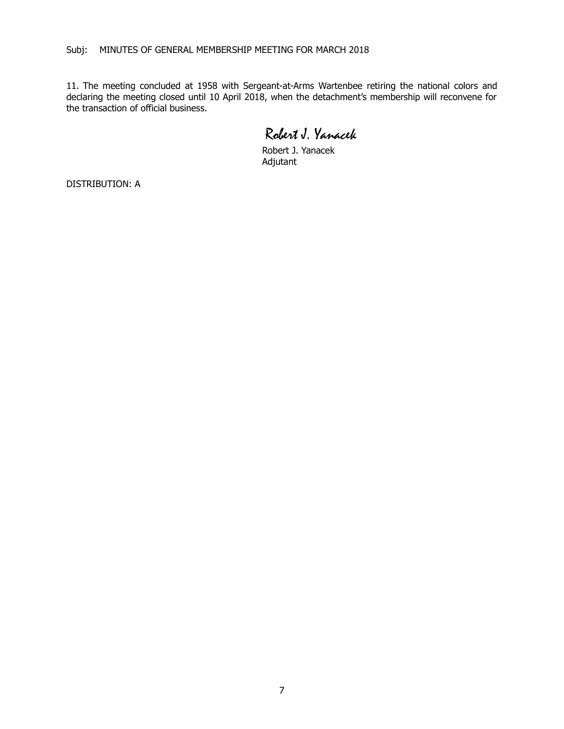11. The meeting concluded at 1958 with Sergeant-at-Arms Wartenbee retiring the national colors and declaring the meeting closed until 10 April 2018, when the detachment's membership will reconvene for the transaction of official business.

Robert J. Yanacek

Robert J. Yanacek Adjutant

DISTRIBUTION: A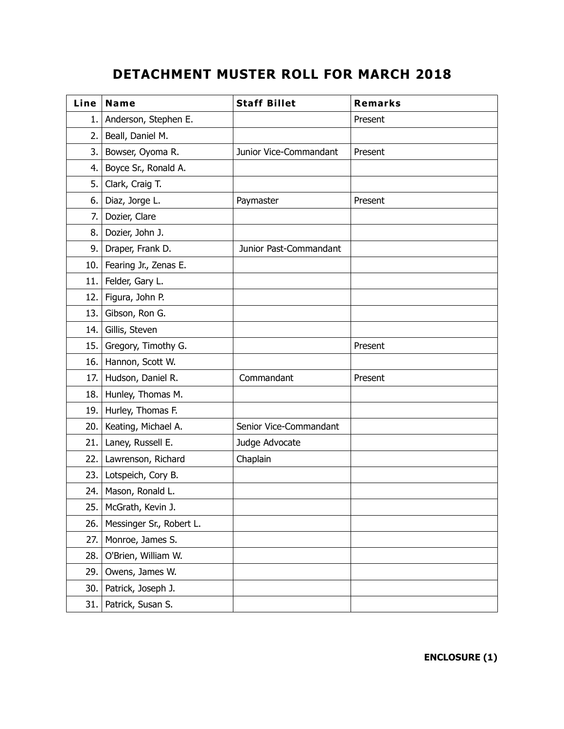# **DETACHMENT MUSTER ROLL FOR MARCH 2018**

| Line | Name                     | <b>Staff Billet</b>    | <b>Remarks</b> |
|------|--------------------------|------------------------|----------------|
| 1.   | Anderson, Stephen E.     |                        | Present        |
| 2.   | Beall, Daniel M.         |                        |                |
| 3.   | Bowser, Oyoma R.         | Junior Vice-Commandant | Present        |
| 4.   | Boyce Sr., Ronald A.     |                        |                |
| 5.   | Clark, Craig T.          |                        |                |
| 6.   | Diaz, Jorge L.           | Paymaster              | Present        |
| 7.   | Dozier, Clare            |                        |                |
| 8.   | Dozier, John J.          |                        |                |
| 9.   | Draper, Frank D.         | Junior Past-Commandant |                |
| 10.  | Fearing Jr., Zenas E.    |                        |                |
| 11.  | Felder, Gary L.          |                        |                |
| 12.  | Figura, John P.          |                        |                |
| 13.  | Gibson, Ron G.           |                        |                |
| 14.  | Gillis, Steven           |                        |                |
| 15.  | Gregory, Timothy G.      |                        | Present        |
| 16.  | Hannon, Scott W.         |                        |                |
| 17.  | Hudson, Daniel R.        | Commandant             | Present        |
| 18.  | Hunley, Thomas M.        |                        |                |
| 19.  | Hurley, Thomas F.        |                        |                |
| 20.  | Keating, Michael A.      | Senior Vice-Commandant |                |
| 21.  | Laney, Russell E.        | Judge Advocate         |                |
| 22.  | Lawrenson, Richard       | Chaplain               |                |
| 23.1 | Lotspeich, Cory B.       |                        |                |
| 24.  | Mason, Ronald L.         |                        |                |
| 25.  | McGrath, Kevin J.        |                        |                |
| 26.  | Messinger Sr., Robert L. |                        |                |
| 27.  | Monroe, James S.         |                        |                |
| 28.  | O'Brien, William W.      |                        |                |
| 29.  | Owens, James W.          |                        |                |
| 30.  | Patrick, Joseph J.       |                        |                |
| 31.  | Patrick, Susan S.        |                        |                |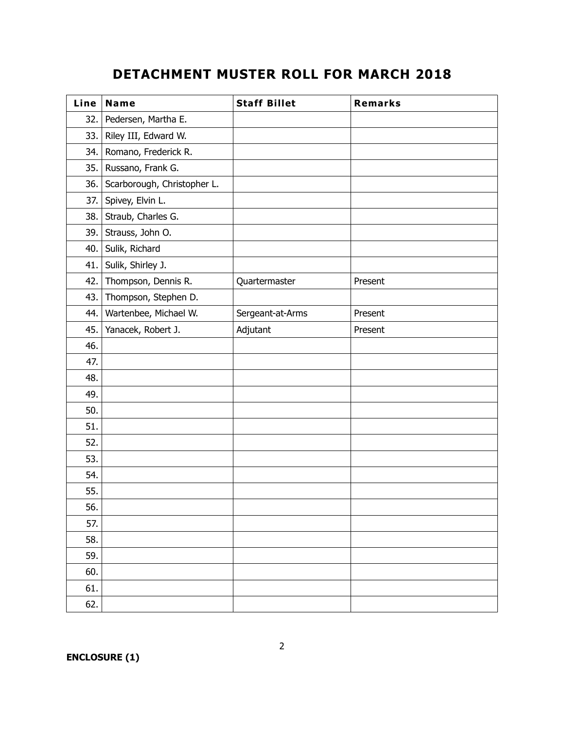### **DETACHMENT MUSTER ROLL FOR MARCH 2018**

| Line | Name                        | <b>Staff Billet</b> | Remarks |
|------|-----------------------------|---------------------|---------|
| 32.  | Pedersen, Martha E.         |                     |         |
| 33.  | Riley III, Edward W.        |                     |         |
| 34.  | Romano, Frederick R.        |                     |         |
| 35.  | Russano, Frank G.           |                     |         |
| 36.  | Scarborough, Christopher L. |                     |         |
| 37.  | Spivey, Elvin L.            |                     |         |
| 38.  | Straub, Charles G.          |                     |         |
| 39.  | Strauss, John O.            |                     |         |
| 40.  | Sulik, Richard              |                     |         |
| 41.  | Sulik, Shirley J.           |                     |         |
| 42.  | Thompson, Dennis R.         | Quartermaster       | Present |
| 43.  | Thompson, Stephen D.        |                     |         |
| 44.  | Wartenbee, Michael W.       | Sergeant-at-Arms    | Present |
| 45.  | Yanacek, Robert J.          | Adjutant            | Present |
| 46.  |                             |                     |         |
| 47.  |                             |                     |         |
| 48.  |                             |                     |         |
| 49.  |                             |                     |         |
| 50.  |                             |                     |         |
| 51.  |                             |                     |         |
| 52.  |                             |                     |         |
| 53.  |                             |                     |         |
| 54.  |                             |                     |         |
| 55.  |                             |                     |         |
| 56.  |                             |                     |         |
| 57.  |                             |                     |         |
| 58.  |                             |                     |         |
| 59.  |                             |                     |         |
| 60.  |                             |                     |         |
| 61.  |                             |                     |         |
| 62.  |                             |                     |         |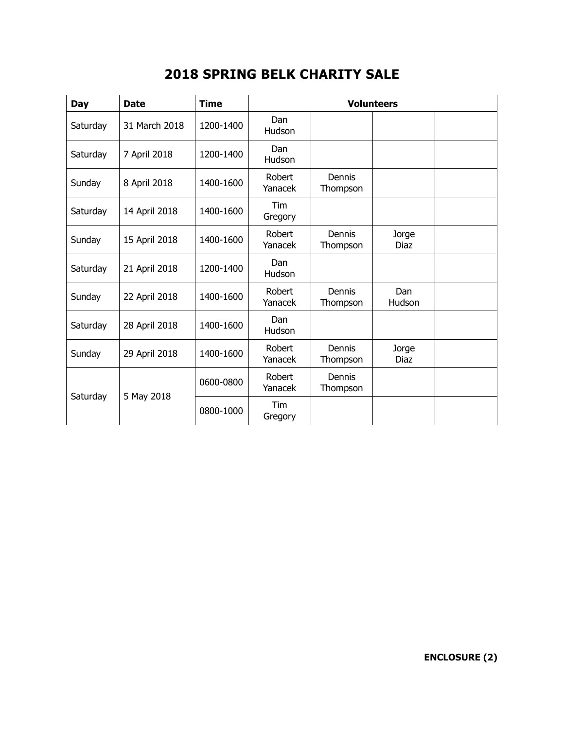| Day      | <b>Date</b>   | <b>Time</b> | <b>Volunteers</b>     |                    |                      |  |
|----------|---------------|-------------|-----------------------|--------------------|----------------------|--|
| Saturday | 31 March 2018 | 1200-1400   | Dan<br>Hudson         |                    |                      |  |
| Saturday | 7 April 2018  | 1200-1400   | <b>Dan</b><br>Hudson  |                    |                      |  |
| Sunday   | 8 April 2018  | 1400-1600   | Robert<br>Yanacek     | Dennis<br>Thompson |                      |  |
| Saturday | 14 April 2018 | 1400-1600   | Tim<br>Gregory        |                    |                      |  |
| Sunday   | 15 April 2018 | 1400-1600   | Robert<br>Yanacek     | Dennis<br>Thompson | Jorge<br><b>Diaz</b> |  |
| Saturday | 21 April 2018 | 1200-1400   | Dan<br>Hudson         |                    |                      |  |
| Sunday   | 22 April 2018 | 1400-1600   | Robert<br>Yanacek     | Dennis<br>Thompson | Dan<br>Hudson        |  |
| Saturday | 28 April 2018 | 1400-1600   | <b>Dan</b><br>Hudson  |                    |                      |  |
| Sunday   | 29 April 2018 | 1400-1600   | Robert<br>Yanacek     | Dennis<br>Thompson | Jorge<br>Diaz        |  |
|          | 5 May 2018    | 0600-0800   | Robert<br>Yanacek     | Dennis<br>Thompson |                      |  |
| Saturday |               | 0800-1000   | <b>Tim</b><br>Gregory |                    |                      |  |

# **2018 SPRING BELK CHARITY SALE**